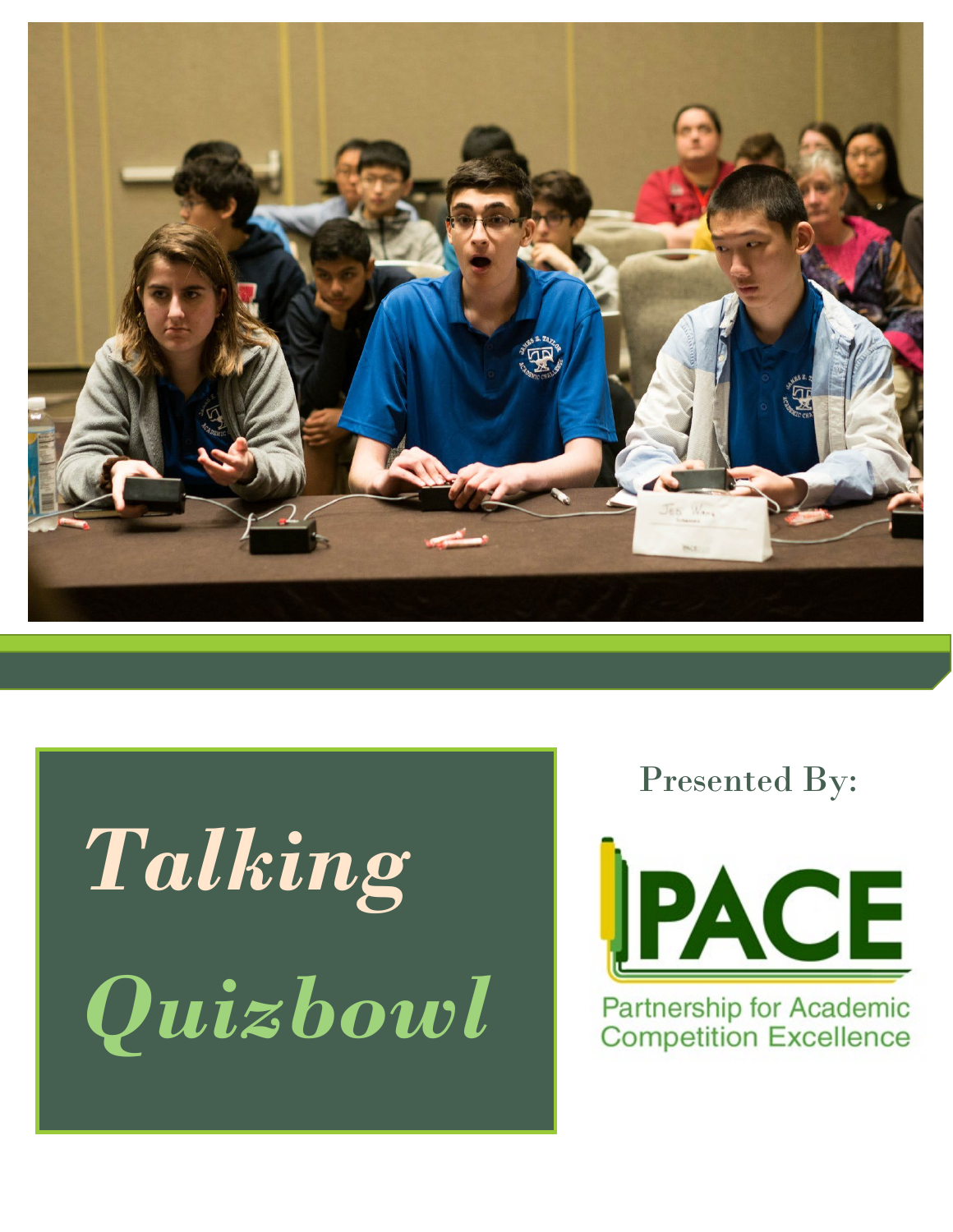

# *Talking Quizbowl*

Presented By:



Partnership for Academic **Competition Excellence**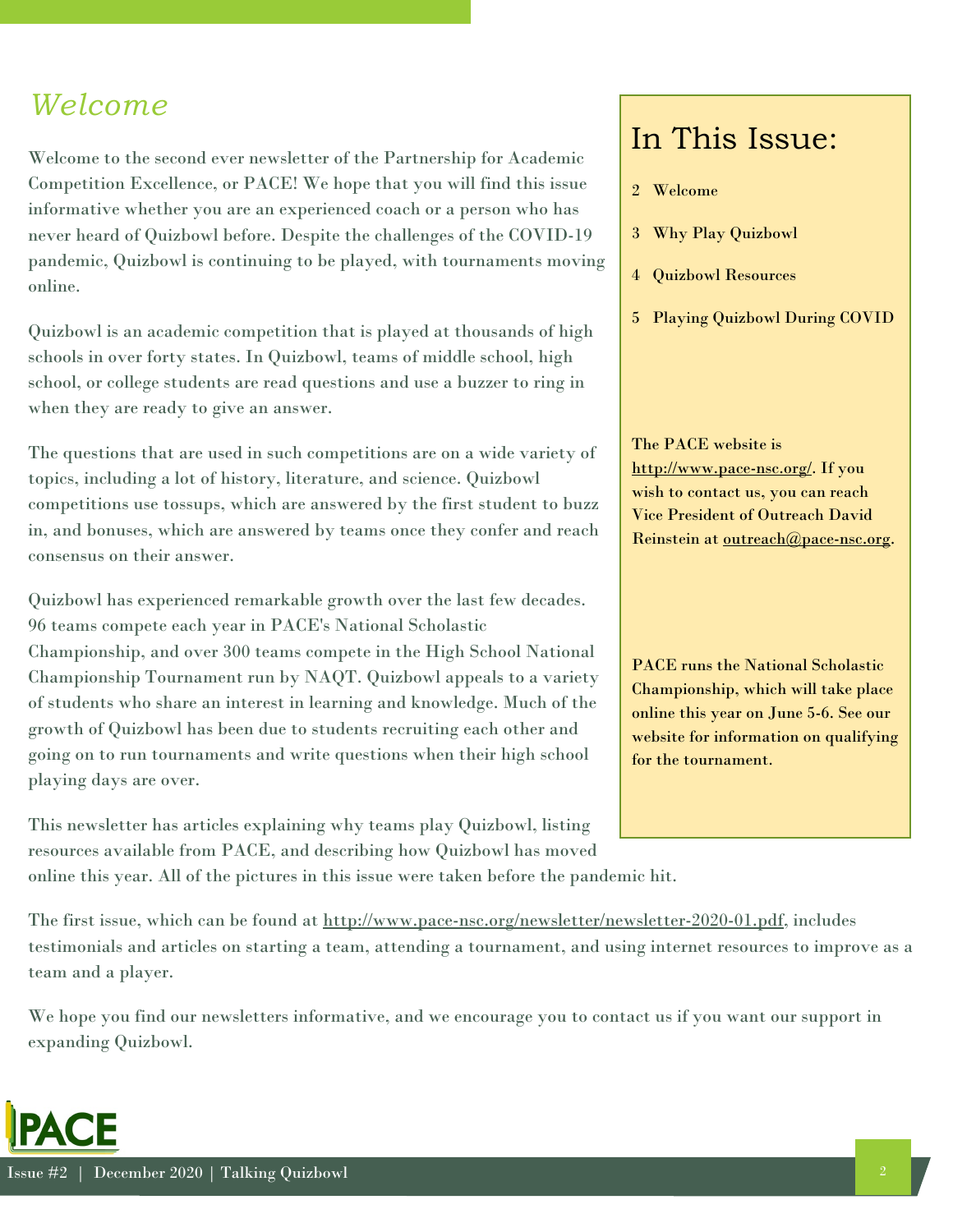#### *Welcome*

Welcome to the second ever newsletter of the Partnership for Academic Competition Excellence, or PACE! We hope that you will find this issue informative whether you are an experienced coach or a person who has never heard of Quizbowl before. Despite the challenges of the COVID-19 pandemic, Quizbowl is continuing to be played, with tournaments moving online.

Quizbowl is an academic competition that is played at thousands of high schools in over forty states. In Quizbowl, teams of middle school, high school, or college students are read questions and use a buzzer to ring in when they are ready to give an answer.

The questions that are used in such competitions are on a wide variety of topics, including a lot of history, literature, and science. Quizbowl competitions use tossups, which are answered by the first student to buzz in, and bonuses, which are answered by teams once they confer and reach consensus on their answer.

Quizbowl has experienced remarkable growth over the last few decades. 96 teams compete each year in PACE's National Scholastic Championship, and over 300 teams compete in the High School National Championship Tournament run by NAQT. Quizbowl appeals to a variety of students who share an interest in learning and knowledge. Much of the growth of Quizbowl has been due to students recruiting each other and going on to run tournaments and write questions when their high school playing days are over.

This newsletter has articles explaining why teams play Quizbowl, listing resources available from PACE, and describing how Quizbowl has moved

online this year. All of the pictures in this issue were taken before the pandemic hit.

#### In This Issue:

- 2 Welcome
- 3 Why Play Quizbowl
- 4 Quizbowl Resources
- 5 Playing Quizbowl During COVID

The PACE website is [http://www.pace-nsc.org/.](http://www.pace-nsc.org/) If you wish to contact us, you can reach Vice President of Outreach David Reinstein at [outreach@pace-nsc.org.](mailto:outreach@pace-nsc.org)

PACE runs the National Scholastic Championship, which will take place online this year on June 5-6. See our website for information on qualifying for the tournament.

The first issue, which can be found at [http://www.pace-nsc.org/newsletter/newsletter-2020-01.pdf,](http://www.pace-nsc.org/newsletter/newsletter-2020-01.pdf) includes testimonials and articles on starting a team, attending a tournament, and using internet resources to improve as a team and a player.

We hope you find our newsletters informative, and we encourage you to contact us if you want our support in expanding Quizbowl.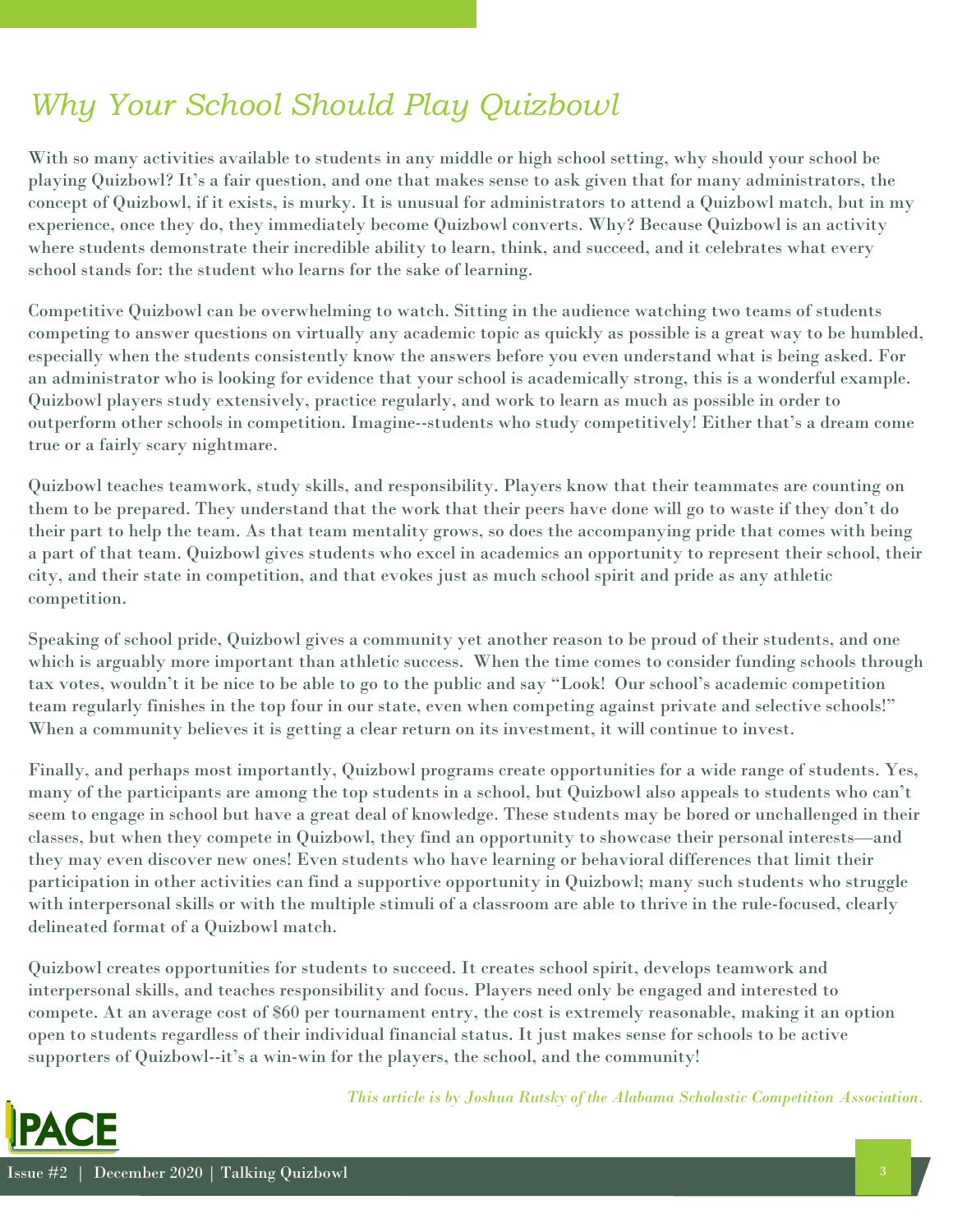### *Why Your School Should Play Quizbowl*

With so many activities available to students in any middle or high school setting, why should your school be playing Quizbowl? It's a fair question, and one that makes sense to ask given that for many administrators, the concept of Quizbowl, if it exists, is murky. It is unusual for administrators to attend a Quizbowl match, but in my experience, once they do, they immediately become Quizbowl converts. Why? Because Quizbowl is an activity where students demonstrate their incredible ability to learn, think, and succeed, and it celebrates what every school stands for: the student who learns for the sake of learning.

Competitive Quizbowl can be overwhelming to watch. Sitting in the audience watching two teams of students competing to answer questions on virtually any academic topic as quickly as possible is a great way to be humbled, especially when the students consistently know the answers before you even understand what is being asked. For an administrator who is looking for evidence that your school is academically strong, this is a wonderful example. Quizbowl players study extensively, practice regularly, and work to learn as much as possible in order to outperform other schools in competition. Imagine--students who study competitively! Either that's a dream come true or a fairly scary nightmare.

Quizbowl teaches teamwork, study skills, and responsibility. Players know that their teammates are counting on them to be prepared. They understand that the work that their peers have done will go to waste if they don't do their part to help the team. As that team mentality grows, so does the accompanying pride that comes with being a part of that team. Quizbowl gives students who excel in academics an opportunity to represent their school, their city, and their state in competition, and that evokes just as much school spirit and pride as any athletic competition.

Speaking of school pride, Quizbowl gives a community yet another reason to be proud of their students, and one which is arguably more important than athletic success. When the time comes to consider funding schools through tax votes, wouldn't it be nice to be able to go to the public and say "Look! Our school's academic competition team regularly finishes in the top four in our state, even when competing against private and selective schools!" When a community believes it is getting a clear return on its investment, it will continue to invest.

Finally, and perhaps most importantly, Quizbowl programs create opportunities for a wide range of students. Yes, many of the participants are among the top students in a school, but Quizbowl also appeals to students who can't seem to engage in school but have a great deal of knowledge. These students may be bored or unchallenged in their classes, but when they compete in Quizbowl, they find an opportunity to showcase their personal interests—and they may even discover new ones! Even students who have learning or behavioral differences that limit their participation in other activities can find a supportive opportunity in Quizbowl; many such students who struggle with interpersonal skills or with the multiple stimuli of a classroom are able to thrive in the rule-focused, clearly delineated format of a Quizbowl match.

Quizbowl creates opportunities for students to succeed. It creates school spirit, develops teamwork and interpersonal skills, and teaches responsibility and focus. Players need only be engaged and interested to compete. At an average cost of \$60 per tournament entry, the cost is extremely reasonable, making it an option open to students regardless of their individual financial status. It just makes sense for schools to be active supporters of Quizbowl--it's a win-win for the players, the school, and the community!



*This article is by Joshua Rutsky of the Alabama Scholastic Competition Association.*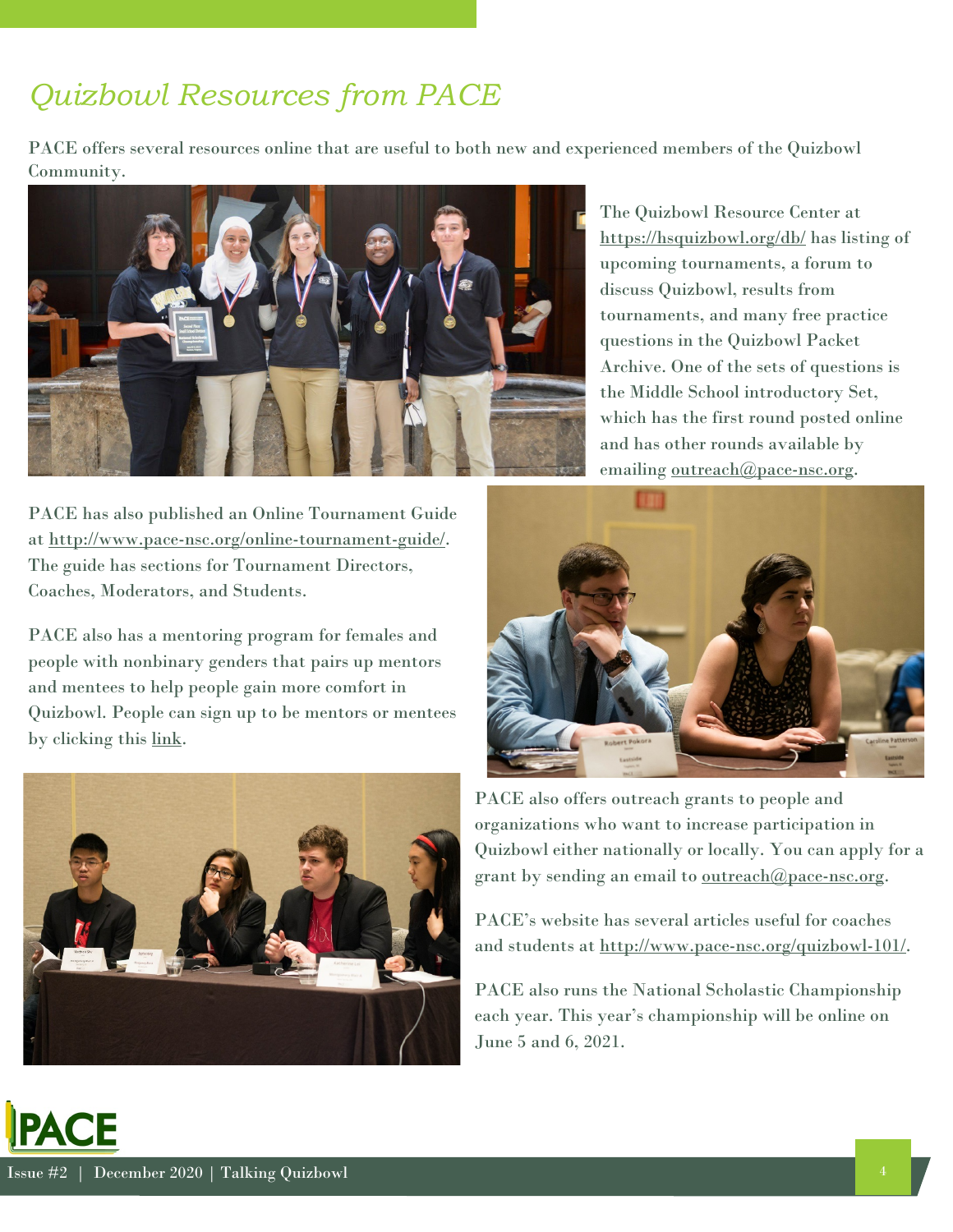### *Quizbowl Resources from PACE*

PACE offers several resources online that are useful to both new and experienced members of the Quizbowl Community.



PACE has also published an Online Tournament Guide at [http://www.pace-nsc.org/online-tournament-guide/.](http://www.pace-nsc.org/online-tournament-guide/) The guide has sections for Tournament Directors, Coaches, Moderators, and Students.

PACE also has a mentoring program for females and people with nonbinary genders that pairs up mentors and mentees to help people gain more comfort in Quizbowl. People can sign up to be mentors or mentees by clicking this [link.](https://docs.google.com/forms/d/e/1FAIpQLScz7ZafMK4_vy4YCJA6Eqxizu4LDP7XkktJGlC5DWx9vjwTWQ/viewform?fbclid=IwAR2nFjRnsebzE5buGmzztgRnSKU7OoydZqvHuRDAsokAXRNW1TWZaIxAv2g)



The Quizbowl Resource Center at <https://hsquizbowl.org/db/> has listing of upcoming tournaments, a forum to discuss Quizbowl, results from tournaments, and many free practice questions in the Quizbowl Packet Archive. One of the sets of questions is the Middle School introductory Set, which has the first round posted online and has other rounds available by emailing [outreach@pace-nsc.org.](mailto:outreach@pace-nsc.org)



PACE also offers outreach grants to people and organizations who want to increase participation in Quizbowl either nationally or locally. You can apply for a grant by sending an email to [outreach@pace-nsc.org.](mailto:outreach@pace-nsc.org)

PACE's website has several articles useful for coaches and students at [http://www.pace-nsc.org/quizbowl-101/.](http://www.pace-nsc.org/quizbowl-101/)

PACE also runs the National Scholastic Championship each year. This year's championship will be online on June 5 and 6, 2021.